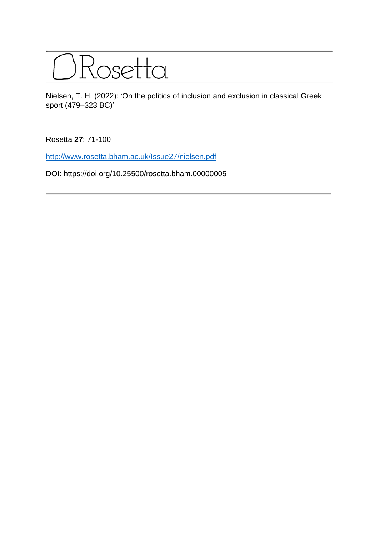

Nielsen, T. H. (2022): 'On the politics of inclusion and exclusion in classical Greek sport (479–323 BC)'

Rosetta **27**: 71-100

<http://www.rosetta.bham.ac.uk/Issue27/nielsen.pdf>

DOI: https://doi.org/10.25500/rosetta.bham.00000005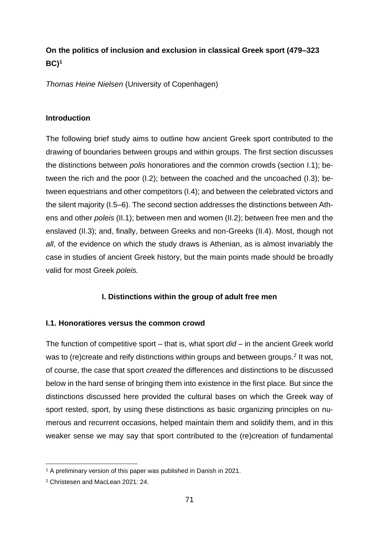# **On the politics of inclusion and exclusion in classical Greek sport (479–323 BC)<sup>1</sup>**

*Thomas Heine Nielsen* (University of Copenhagen)

# **Introduction**

The following brief study aims to outline how ancient Greek sport contributed to the drawing of boundaries between groups and within groups. The first section discusses the distinctions between *polis* honoratiores and the common crowds (section I.1); between the rich and the poor (I.2); between the coached and the uncoached (I.3); between equestrians and other competitors (I.4); and between the celebrated victors and the silent majority (I.5–6). The second section addresses the distinctions between Athens and other *poleis* (II.1); between men and women (II.2); between free men and the enslaved (II.3); and, finally, between Greeks and non-Greeks (II.4). Most, though not *all*, of the evidence on which the study draws is Athenian, as is almost invariably the case in studies of ancient Greek history, but the main points made should be broadly valid for most Greek *poleis.*

# **I. Distinctions within the group of adult free men**

# **I.1. Honoratiores versus the common crowd**

The function of competitive sport – that is, what sport *did* – in the ancient Greek world was to (re)create and reify distinctions within groups and between groups.<sup>2</sup> It was not, of course, the case that sport *created* the differences and distinctions to be discussed below in the hard sense of bringing them into existence in the first place. But since the distinctions discussed here provided the cultural bases on which the Greek way of sport rested, sport, by using these distinctions as basic organizing principles on numerous and recurrent occasions, helped maintain them and solidify them, and in this weaker sense we may say that sport contributed to the (re)creation of fundamental

<sup>1</sup> A preliminary version of this paper was published in Danish in 2021.

<sup>2</sup> Christesen and MacLean 2021: 24.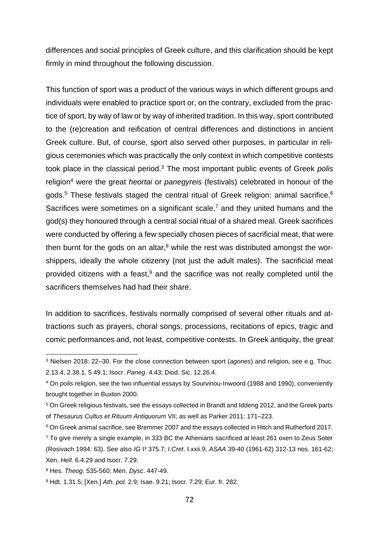differences and social principles of Greek culture, and this clarification should be kept firmly in mind throughout the following discussion.

This function of sport was a product of the various ways in which different groups and individuals were enabled to practice sport or, on the contrary, excluded from the practice of sport, by way of law or by way of inherited tradition. In this way, sport contributed to the (re)creation and reification of central differences and distinctions in ancient Greek culture. But, of course, sport also served other purposes, in particular in religious ceremonies which was practically the only context in which competitive contests took place in the classical period.<sup>3</sup> The most important public events of Greek *polis*  religion<sup>4</sup> were the great *heortai* or *panegyreis* (festivals) celebrated in honour of the gods.<sup>5</sup> These festivals staged the central ritual of Greek religion: animal sacrifice.<sup>6</sup> Sacrifices were sometimes on a significant scale, $<sup>7</sup>$  and they united humans and the</sup> god(s) they honoured through a central social ritual of a shared meal. Greek sacrifices were conducted by offering a few specially chosen pieces of sacrificial meat, that were then burnt for the gods on an altar, $8$  while the rest was distributed amongst the worshippers, ideally the whole citizenry (not just the adult males). The sacrificial meat provided citizens with a feast,<sup>9</sup> and the sacrifice was not really completed until the sacrificers themselves had had their share.

In addition to sacrifices, festivals normally comprised of several other rituals and attractions such as prayers, choral songs, processions, recitations of epics, tragic and comic performances and, not least, competitive contests. In Greek antiquity, the great

<sup>3</sup> Nielsen 2018: 22–30. For the close connection between sport (*agones*) and religion, see e.g. Thuc. 2.13.4, 2.38.1, 5.49.1; Isocr. *Paneg*. 4.43; Diod. Sic. 12.26.4.

<sup>4</sup> On *polis* religion, see the two influential essays by Sourvinou-Inwoord (1988 and 1990), conveniently brought together in Buxton 2000.

<sup>5</sup> On Greek religious festivals, see the essays collected in Brandt and Iddeng 2012, and the Greek parts of *Thesaurus Cultus et Rituum Antiquorum* VII; as well as Parker 2011: 171–223.

<sup>6</sup> On Greek animal sacrifice, see Bremmer 2007 and the essays collected in Hitch and Rutherford 2017. <sup>7</sup> To give merely a single example, in 333 BC the Athenians sacrificed at least 261 oxen to Zeus Soter (Rosivach 1994: 63). See also *IG* I³ 375.7; *I.Cret*. I.xxii.9; *ASAA* 39-40 (1961-62) 312-13 nos. 161-62;

Xen. *Hell*. 6.4.29 and Isocr. 7.29.

<sup>8</sup> Hes. *Theog*. 535-560; Men. *Dysc*. 447-49.

<sup>9</sup> Hdt. 1.31.5; [Xen.] *Ath. pol.* 2.9; Isae. 9.21; Isocr. 7.29; Eur. fr. 282.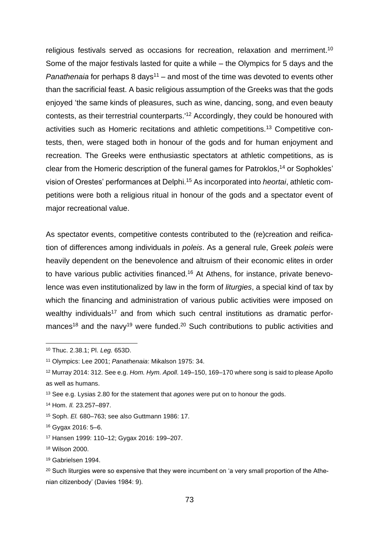religious festivals served as occasions for recreation, relaxation and merriment.<sup>10</sup> Some of the major festivals lasted for quite a while – the Olympics for 5 days and the *Panathenaia* for perhaps 8 days<sup>11</sup> – and most of the time was devoted to events other than the sacrificial feast. A basic religious assumption of the Greeks was that the gods enjoyed 'the same kinds of pleasures, such as wine, dancing, song, and even beauty contests, as their terrestrial counterparts.' <sup>12</sup> Accordingly, they could be honoured with activities such as Homeric recitations and athletic competitions.<sup>13</sup> Competitive contests, then, were staged both in honour of the gods and for human enjoyment and recreation. The Greeks were enthusiastic spectators at athletic competitions, as is clear from the Homeric description of the funeral games for Patroklos, <sup>14</sup> or Sophokles' vision of Orestes' performances at Delphi. <sup>15</sup> As incorporated into *heortai*, athletic competitions were both a religious ritual in honour of the gods and a spectator event of major recreational value.

As spectator events, competitive contests contributed to the (re)creation and reification of differences among individuals in *poleis*. As a general rule, Greek *poleis* were heavily dependent on the benevolence and altruism of their economic elites in order to have various public activities financed.<sup>16</sup> At Athens, for instance, private benevolence was even institutionalized by law in the form of *liturgies*, a special kind of tax by which the financing and administration of various public activities were imposed on wealthy individuals<sup>17</sup> and from which such central institutions as dramatic performances<sup>18</sup> and the navy<sup>19</sup> were funded.<sup>20</sup> Such contributions to public activities and

<sup>10</sup> Thuc. 2.38.1; Pl. *Leg.* 653D.

<sup>11</sup> Olympics: Lee 2001; *Panathenaia*: Mikalson 1975: 34.

<sup>12</sup> Murray 2014: 312. See e.g. *Hom. Hym. Apoll*. 149–150, 169–170 where song is said to please Apollo as well as humans.

<sup>13</sup> See e.g. Lysias 2.80 for the statement that *agones* were put on to honour the gods.

<sup>14</sup> Hom. *Il.* 23.257–897.

<sup>15</sup> Soph. *El.* 680–763; see also Guttmann 1986: 17.

<sup>16</sup> Gygax 2016: 5–6.

<sup>17</sup> Hansen 1999: 110–12; Gygax 2016: 199–207.

<sup>18</sup> Wilson 2000.

<sup>19</sup> Gabrielsen 1994.

<sup>&</sup>lt;sup>20</sup> Such liturgies were so expensive that they were incumbent on 'a very small proportion of the Athenian citizenbody' (Davies 1984: 9).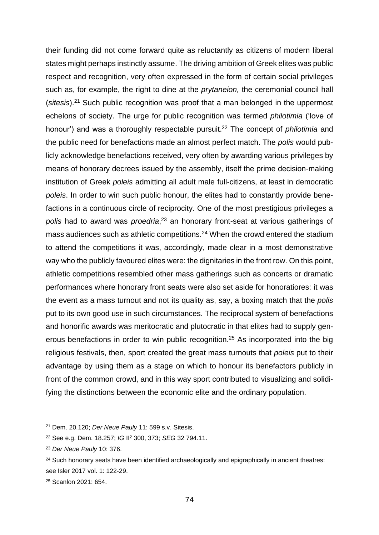their funding did not come forward quite as reluctantly as citizens of modern liberal states might perhaps instinctly assume. The driving ambition of Greek elites was public respect and recognition, very often expressed in the form of certain social privileges such as, for example, the right to dine at the *prytaneion,* the ceremonial council hall (*sitesis*). <sup>21</sup> Such public recognition was proof that a man belonged in the uppermost echelons of society. The urge for public recognition was termed *philotimia* ('love of honour') and was a thoroughly respectable pursuit. <sup>22</sup> The concept of *philotimia* and the public need for benefactions made an almost perfect match. The *polis* would publicly acknowledge benefactions received, very often by awarding various privileges by means of honorary decrees issued by the assembly, itself the prime decision-making institution of Greek *poleis* admitting all adult male full-citizens, at least in democratic *poleis*. In order to win such public honour, the elites had to constantly provide benefactions in a continuous circle of reciprocity. One of the most prestigious privileges a *polis* had to award was *proedria*, <sup>23</sup> an honorary front-seat at various gatherings of mass audiences such as athletic competitions.<sup>24</sup> When the crowd entered the stadium to attend the competitions it was, accordingly, made clear in a most demonstrative way who the publicly favoured elites were: the dignitaries in the front row. On this point, athletic competitions resembled other mass gatherings such as concerts or dramatic performances where honorary front seats were also set aside for honoratiores: it was the event as a mass turnout and not its quality as, say, a boxing match that the *polis* put to its own good use in such circumstances. The reciprocal system of benefactions and honorific awards was meritocratic and plutocratic in that elites had to supply generous benefactions in order to win public recognition.<sup>25</sup> As incorporated into the big religious festivals, then, sport created the great mass turnouts that *poleis* put to their advantage by using them as a stage on which to honour its benefactors publicly in front of the common crowd, and in this way sport contributed to visualizing and solidifying the distinctions between the economic elite and the ordinary population.

<sup>21</sup> Dem. 20.120; *Der Neue Pauly* 11: 599 s.v. Sitesis.

<sup>22</sup> See e.g. Dem. 18.257; *IG* II<sup>2</sup> 300, 373; *SEG* 32 794.11.

<sup>23</sup> *Der Neue Pauly* 10: 376.

<sup>&</sup>lt;sup>24</sup> Such honorary seats have been identified archaeologically and epigraphically in ancient theatres: see Isler 2017 vol. 1: 122-29.

<sup>25</sup> Scanlon 2021: 654.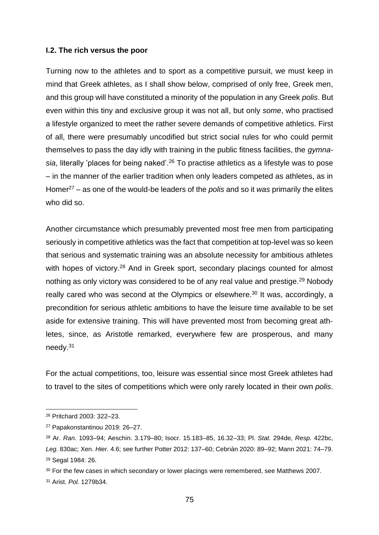### **I.2. The rich versus the poor**

Turning now to the athletes and to sport as a competitive pursuit, we must keep in mind that Greek athletes, as I shall show below, comprised of only free, Greek men, and this group will have constituted a minority of the population in any Greek *polis*. But even within this tiny and exclusive group it was not all, but only *some*, who practised a lifestyle organized to meet the rather severe demands of competitive athletics. First of all, there were presumably uncodified but strict social rules for who could permit themselves to pass the day idly with training in the public fitness facilities, the *gymna*sia, literally 'places for being naked'.<sup>26</sup> To practise athletics as a lifestyle was to pose – in the manner of the earlier tradition when only leaders competed as athletes, as in Homer<sup>27</sup> – as one of the would-be leaders of the *polis* and so it *was* primarily the elites who did so.

Another circumstance which presumably prevented most free men from participating seriously in competitive athletics was the fact that competition at top-level was so keen that serious and systematic training was an absolute necessity for ambitious athletes with hopes of victory.<sup>28</sup> And in Greek sport, secondary placings counted for almost nothing as only victory was considered to be of any real value and prestige.<sup>29</sup> Nobody really cared who was second at the Olympics or elsewhere.<sup>30</sup> It was, accordingly, a precondition for serious athletic ambitions to have the leisure time available to be set aside for extensive training. This will have prevented most from becoming great athletes, since, as Aristotle remarked, everywhere few are prosperous, and many needy.<sup>31</sup>

For the actual competitions, too, leisure was essential since most Greek athletes had to travel to the sites of competitions which were only rarely located in their own *polis*.

<sup>26</sup> Pritchard 2003: 322–23.

<sup>27</sup> Papakonstantinou 2019: 26–27.

<sup>28</sup> Ar. *Ran.* 1093–94; Aeschin. 3.179–80; Isocr. 15.183–85, 16.32–33; Pl. *Stat.* 294de, *Resp.* 422bc, *Leg.* 830ac; Xen. *Hier.* 4.6; see further Potter 2012: 137–60; Cebrián 2020: 89–92; Mann 2021: 74–79. <sup>29</sup> Segal 1984: 26.

 $30$  For the few cases in which secondary or lower placings were remembered, see Matthews 2007.

<sup>31</sup> Arist. *Pol.* 1279b34.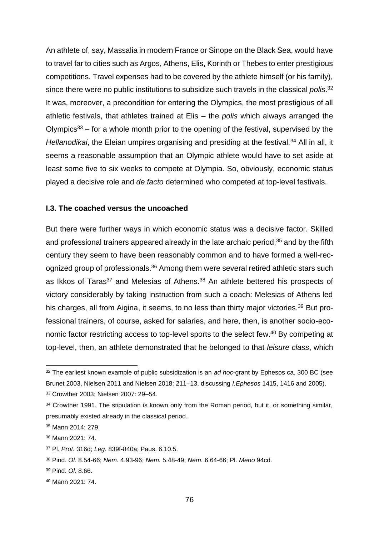An athlete of, say, Massalia in modern France or Sinope on the Black Sea, would have to travel far to cities such as Argos, Athens, Elis, Korinth or Thebes to enter prestigious competitions. Travel expenses had to be covered by the athlete himself (or his family), since there were no public institutions to subsidize such travels in the classical *polis*. 32 It was, moreover, a precondition for entering the Olympics, the most prestigious of all athletic festivals, that athletes trained at Elis – the *polis* which always arranged the Olympics<sup>33</sup> – for a whole month prior to the opening of the festival, supervised by the *Hellanodikai*, the Eleian umpires organising and presiding at the festival.<sup>34</sup> All in all, it seems a reasonable assumption that an Olympic athlete would have to set aside at least some five to six weeks to compete at Olympia. So, obviously, economic status played a decisive role and *de facto* determined who competed at top-level festivals.

# **I.3. The coached versus the uncoached**

But there were further ways in which economic status was a decisive factor. Skilled and professional trainers appeared already in the late archaic period,<sup>35</sup> and by the fifth century they seem to have been reasonably common and to have formed a well-recognized group of professionals.<sup>36</sup> Among them were several retired athletic stars such as Ikkos of Taras<sup>37</sup> and Melesias of Athens.<sup>38</sup> An athlete bettered his prospects of victory considerably by taking instruction from such a coach: Melesias of Athens led his charges, all from Aigina, it seems, to no less than thirty major victories.<sup>39</sup> But professional trainers, of course, asked for salaries, and here, then, is another socio-economic factor restricting access to top-level sports to the select few.<sup>40</sup> By competing at top-level, then, an athlete demonstrated that he belonged to that *leisure class*, which

<sup>32</sup> The earliest known example of public subsidization is an *ad hoc*-grant by Ephesos ca. 300 BC (see Brunet 2003, Nielsen 2011 and Nielsen 2018: 211–13, discussing *I.Ephesos* 1415, 1416 and 2005). <sup>33</sup> Crowther 2003; Nielsen 2007: 29–54.

<sup>&</sup>lt;sup>34</sup> Crowther 1991. The stipulation is known only from the Roman period, but it, or something similar, presumably existed already in the classical period.

<sup>35</sup> Mann 2014: 279.

<sup>36</sup> Mann 2021: 74.

<sup>37</sup> Pl. *Prot.* 316d; *Leg.* 839f-840a; Paus. 6.10.5.

<sup>38</sup> Pind. *Ol.* 8.54-66; *Nem.* 4.93-96; *Nem.* 5.48-49; *Nem.* 6.64-66; Pl. *Meno* 94cd.

<sup>39</sup> Pind. *Ol.* 8.66.

<sup>40</sup> Mann 2021: 74.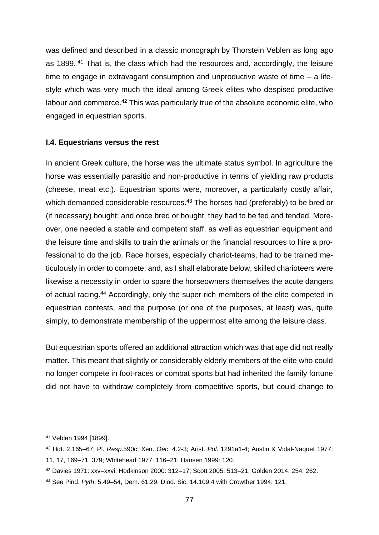was defined and described in a classic monograph by Thorstein Veblen as long ago as 1899. <sup>41</sup> That is, the class which had the resources and, accordingly, the leisure time to engage in extravagant consumption and unproductive waste of time – a lifestyle which was very much the ideal among Greek elites who despised productive labour and commerce.<sup>42</sup> This was particularly true of the absolute economic elite, who engaged in equestrian sports.

# **I.4. Equestrians versus the rest**

In ancient Greek culture, the horse was the ultimate status symbol. In agriculture the horse was essentially parasitic and non-productive in terms of yielding raw products (cheese, meat etc.). Equestrian sports were, moreover, a particularly costly affair, which demanded considerable resources.<sup>43</sup> The horses had (preferably) to be bred or (if necessary) bought; and once bred or bought, they had to be fed and tended. Moreover, one needed a stable and competent staff, as well as equestrian equipment and the leisure time and skills to train the animals or the financial resources to hire a professional to do the job. Race horses, especially chariot-teams, had to be trained meticulously in order to compete; and, as I shall elaborate below, skilled charioteers were likewise a necessity in order to spare the horseowners themselves the acute dangers of actual racing.<sup>44</sup> Accordingly, only the super rich members of the elite competed in equestrian contests, and the purpose (or one of the purposes, at least) was, quite simply, to demonstrate membership of the uppermost elite among the leisure class.

But equestrian sports offered an additional attraction which was that age did not really matter. This meant that slightly or considerably elderly members of the elite who could no longer compete in foot-races or combat sports but had inherited the family fortune did not have to withdraw completely from competitive sports, but could change to

<sup>41</sup> Veblen 1994 [1899].

<sup>42</sup> Hdt. 2.165–67; Pl. *Resp*.590c; Xen. *Oec*. 4.2-3; Arist. *Pol*. 1291a1-4; Austin & Vidal-Naquet 1977: 11, 17, 169–71, 379; Whitehead 1977: 116–21; Hansen 1999: 120.

<sup>43</sup> Davies 1971: xxv–xxvi; Hodkinson 2000: 312–17; Scott 2005: 513–21; Golden 2014: 254, 262.

<sup>44</sup> See Pind. *Pyth*. 5.49–54, Dem. 61.29, Diod. Sic. 14.109,4 with Crowther 1994: 121.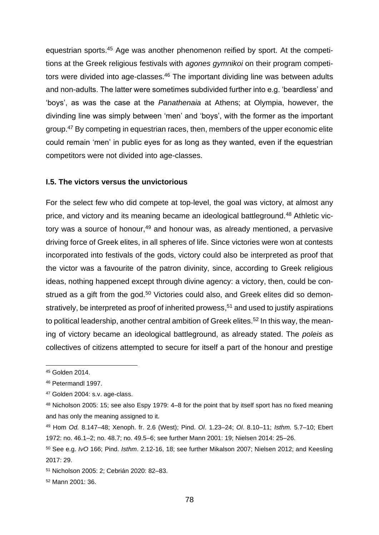equestrian sports.<sup>45</sup> Age was another phenomenon reified by sport. At the competitions at the Greek religious festivals with *agones gymnikoi* on their program competitors were divided into age-classes.<sup>46</sup> The important dividing line was between adults and non-adults. The latter were sometimes subdivided further into e.g. 'beardless' and 'boys', as was the case at the *Panathenaia* at Athens; at Olympia, however, the divinding line was simply between 'men' and 'boys', with the former as the important group.<sup>47</sup> By competing in equestrian races, then, members of the upper economic elite could remain 'men' in public eyes for as long as they wanted, even if the equestrian competitors were not divided into age-classes.

#### **I.5. The victors versus the unvictorious**

For the select few who did compete at top-level, the goal was victory, at almost any price, and victory and its meaning became an ideological battleground.<sup>48</sup> Athletic victory was a source of honour, $49$  and honour was, as already mentioned, a pervasive driving force of Greek elites, in all spheres of life. Since victories were won at contests incorporated into festivals of the gods, victory could also be interpreted as proof that the victor was a favourite of the patron divinity, since, according to Greek religious ideas, nothing happened except through divine agency: a victory, then, could be construed as a gift from the god.<sup>50</sup> Victories could also, and Greek elites did so demonstratively, be interpreted as proof of inherited prowess, <sup>51</sup> and used to justify aspirations to political leadership, another central ambition of Greek elites.<sup>52</sup> In this way, the meaning of victory became an ideological battleground, as already stated. The *poleis* as collectives of citizens attempted to secure for itself a part of the honour and prestige

<sup>45</sup> Golden 2014.

<sup>46</sup> Petermandl 1997.

<sup>47</sup> Golden 2004: s.v. age-class.

<sup>48</sup> Nicholson 2005: 15; see also Espy 1979: 4–8 for the point that by itself sport has no fixed meaning and has only the meaning assigned to it.

<sup>49</sup> Hom *Od.* 8.147–48; Xenoph. fr. 2.6 (West); Pind. *Ol*. 1.23–24; *Ol*. 8.10–11; *Isthm.* 5.7–10; Ebert 1972: no. 46.1–2; no. 48.7; no. 49.5–6; see further Mann 2001: 19; Nielsen 2014: 25–26.

<sup>50</sup> See e.g. *IvO* 166; Pind. *Isthm*. 2.12-16, 18; see further Mikalson 2007; Nielsen 2012; and Keesling 2017: 29.

<sup>51</sup> Nicholson 2005: 2; Cebrián 2020: 82–83.

<sup>52</sup> Mann 2001: 36.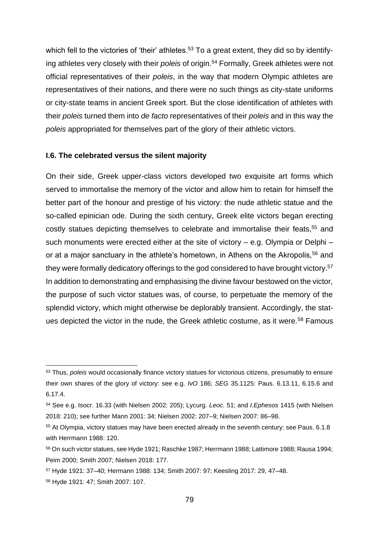which fell to the victories of 'their' athletes.<sup>53</sup> To a great extent, they did so by identifying athletes very closely with their *poleis* of origin.<sup>54</sup> Formally, Greek athletes were not official representatives of their *poleis*, in the way that modern Olympic athletes are representatives of their nations, and there were no such things as city-state uniforms or city-state teams in ancient Greek sport. But the close identification of athletes with their *poleis* turned them into *de facto* representatives of their *poleis* and in this way the *poleis* appropriated for themselves part of the glory of their athletic victors.

#### **I.6. The celebrated versus the silent majority**

On their side, Greek upper-class victors developed two exquisite art forms which served to immortalise the memory of the victor and allow him to retain for himself the better part of the honour and prestige of his victory: the nude athletic statue and the so-called epinician ode. During the sixth century, Greek elite victors began erecting costly statues depicting themselves to celebrate and immortalise their feats,<sup>55</sup> and such monuments were erected either at the site of victory – e.g. Olympia or Delphi – or at a major sanctuary in the athlete's hometown, in Athens on the Akropolis,<sup>56</sup> and they were formally dedicatory offerings to the god considered to have brought victory.<sup>57</sup> In addition to demonstrating and emphasising the divine favour bestowed on the victor, the purpose of such victor statues was, of course, to perpetuate the memory of the splendid victory, which might otherwise be deplorably transient. Accordingly, the statues depicted the victor in the nude, the Greek athletic costume, as it were.<sup>58</sup> Famous

<sup>53</sup> Thus, *poleis* would occasionally finance victory statues for victorious citizens, presumably to ensure their own shares of the glory of victory: see e.g. *IvO* 186; *SEG* 35.1125: Paus. 6.13.11, 6.15.6 and 6.17.4.

<sup>54</sup> See e.g. Isocr. 16.33 (with Nielsen 2002: 205); Lycurg. *Leoc.* 51; and *I.Ephesos* 1415 (with Nielsen 2018: 210); see further Mann 2001: 34; Nielsen 2002: 207–9; Nielsen 2007: 86–98.

<sup>55</sup> At Olympia, victory statues may have been erected already in the seventh century: see Paus. 6.1.8 with Herrmann 1988: 120.

<sup>56</sup> On such victor statues, see Hyde 1921; Raschke 1987; Herrmann 1988; Lattimore 1988; Rausa 1994; Peim 2000; Smith 2007; Nielsen 2018: 177.

<sup>57</sup> Hyde 1921: 37–40; Hermann 1988: 134; Smith 2007: 97; Keesling 2017: 29, 47–48.

<sup>58</sup> Hyde 1921: 47; Smith 2007: 107.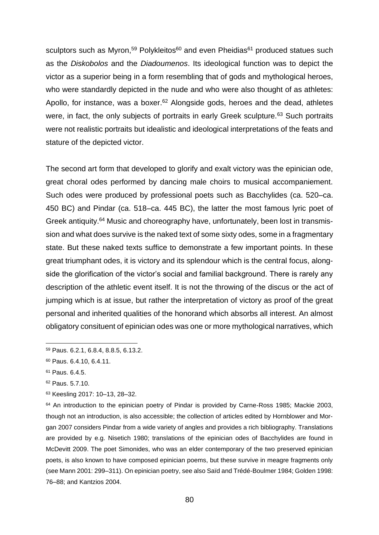sculptors such as Myron,<sup>59</sup> Polykleitos<sup>60</sup> and even Pheidias<sup>61</sup> produced statues such as the *Diskobolos* and the *Diadoumenos*. Its ideological function was to depict the victor as a superior being in a form resembling that of gods and mythological heroes, who were standardly depicted in the nude and who were also thought of as athletes: Apollo, for instance, was a boxer.<sup>62</sup> Alongside gods, heroes and the dead, athletes were, in fact, the only subjects of portraits in early Greek sculpture.<sup>63</sup> Such portraits were not realistic portraits but idealistic and ideological interpretations of the feats and stature of the depicted victor.

The second art form that developed to glorify and exalt victory was the epinician ode, great choral odes performed by dancing male choirs to musical accompaniement. Such odes were produced by professional poets such as Bacchylides (ca. 520–ca. 450 BC) and Pindar (ca. 518–ca. 445 BC), the latter the most famous lyric poet of Greek antiquity.<sup>64</sup> Music and choreography have, unfortunately, been lost in transmission and what does survive is the naked text of some sixty odes, some in a fragmentary state. But these naked texts suffice to demonstrate a few important points. In these great triumphant odes, it is victory and its splendour which is the central focus, alongside the glorification of the victor's social and familial background. There is rarely any description of the athletic event itself. It is not the throwing of the discus or the act of jumping which is at issue, but rather the interpretation of victory as proof of the great personal and inherited qualities of the honorand which absorbs all interest. An almost obligatory consituent of epinician odes was one or more mythological narratives, which

- <sup>62</sup> Paus. 5.7.10.
- <sup>63</sup> Keesling 2017: 10–13, 28–32.

<sup>64</sup> An introduction to the epinician poetry of Pindar is provided by Carne-Ross 1985; Mackie 2003, though not an introduction, is also accessible; the collection of articles edited by Hornblower and Morgan 2007 considers Pindar from a wide variety of angles and provides a rich bibliography. Translations are provided by e.g. Nisetich 1980; translations of the epinician odes of Bacchylides are found in McDevitt 2009. The poet Simonides, who was an elder contemporary of the two preserved epinician poets, is also known to have composed epinician poems, but these survive in meagre fragments only (see Mann 2001: 299–311). On epinician poetry, see also Saïd and Trédé-Boulmer 1984; Golden 1998: 76–88; and Kantzios 2004.

<sup>59</sup> Paus. 6.2.1, 6.8.4, 8.8.5, 6.13.2.

<sup>60</sup> Paus. 6.4.10, 6.4.11.

<sup>61</sup> Paus. 6.4.5.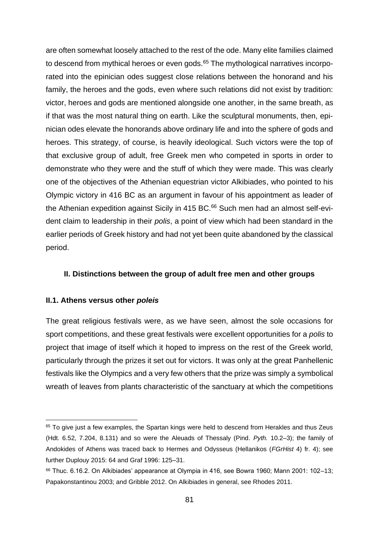are often somewhat loosely attached to the rest of the ode. Many elite families claimed to descend from mythical heroes or even gods.<sup>65</sup> The mythological narratives incorporated into the epinician odes suggest close relations between the honorand and his family, the heroes and the gods, even where such relations did not exist by tradition: victor, heroes and gods are mentioned alongside one another, in the same breath, as if that was the most natural thing on earth. Like the sculptural monuments, then, epinician odes elevate the honorands above ordinary life and into the sphere of gods and heroes. This strategy, of course, is heavily ideological. Such victors were the top of that exclusive group of adult, free Greek men who competed in sports in order to demonstrate who they were and the stuff of which they were made. This was clearly one of the objectives of the Athenian equestrian victor Alkibiades, who pointed to his Olympic victory in 416 BC as an argument in favour of his appointment as leader of the Athenian expedition against Sicily in  $415$  BC. $66$  Such men had an almost self-evident claim to leadership in their *polis*, a point of view which had been standard in the earlier periods of Greek history and had not yet been quite abandoned by the classical period.

# **II. Distinctions between the group of adult free men and other groups**

## **II.1. Athens versus other** *poleis*

The great religious festivals were, as we have seen, almost the sole occasions for sport competitions, and these great festivals were excellent opportunities for a *polis* to project that image of itself which it hoped to impress on the rest of the Greek world, particularly through the prizes it set out for victors. It was only at the great Panhellenic festivals like the Olympics and a very few others that the prize was simply a symbolical wreath of leaves from plants characteristic of the sanctuary at which the competitions

<sup>&</sup>lt;sup>65</sup> To give just a few examples, the Spartan kings were held to descend from Herakles and thus Zeus (Hdt. 6.52, 7.204, 8.131) and so were the Aleuads of Thessaly (Pind. *Pyth.* 10.2–3); the family of Andokides of Athens was traced back to Hermes and Odysseus (Hellanikos (*FGrHist* 4) fr. 4); see further Duplouy 2015: 64 and Graf 1996: 125–31.

 $66$  Thuc. 6.16.2. On Alkibiades' appearance at Olympia in 416, see Bowra 1960; Mann 2001: 102–13; Papakonstantinou 2003; and Gribble 2012. On Alkibiades in general, see Rhodes 2011.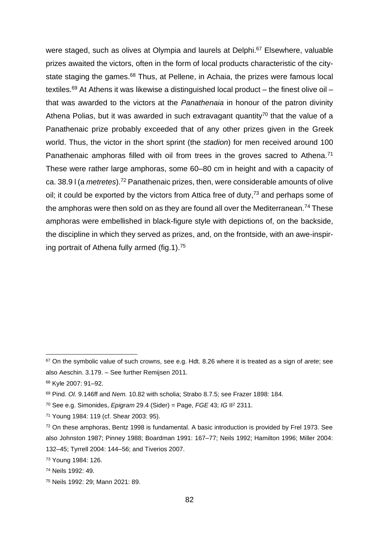were staged, such as olives at Olympia and laurels at Delphi.<sup>67</sup> Elsewhere, valuable prizes awaited the victors, often in the form of local products characteristic of the citystate staging the games.<sup>68</sup> Thus, at Pellene, in Achaia, the prizes were famous local textiles.<sup>69</sup> At Athens it was likewise a distinguished local product – the finest olive oil – that was awarded to the victors at the *Panathenaia* in honour of the patron divinity Athena Polias, but it was awarded in such extravagant quantity<sup>70</sup> that the value of a Panathenaic prize probably exceeded that of any other prizes given in the Greek world. Thus, the victor in the short sprint (the *stadion*) for men received around 100 Panathenaic amphoras filled with oil from trees in the groves sacred to Athena.<sup>71</sup> These were rather large amphoras, some 60–80 cm in height and with a capacity of ca. 38.9 l (a *metretes*).<sup>72</sup> Panathenaic prizes, then, were considerable amounts of olive oil; it could be exported by the victors from Attica free of duty,  $73$  and perhaps some of the amphoras were then sold on as they are found all over the Mediterranean.<sup>74</sup> These amphoras were embellished in black-figure style with depictions of, on the backside, the discipline in which they served as prizes, and, on the frontside, with an awe-inspiring portrait of Athena fully armed (fig.1). 75

<sup>67</sup> On the symbolic value of such crowns, see e.g. Hdt. 8.26 where it is treated as a sign of *arete*; see also Aeschin. 3.179. – See further Remijsen 2011.

<sup>68</sup> Kyle 2007: 91–92.

<sup>69</sup> Pind. *Ol.* 9.146ff and *Nem.* 10.82 with scholia; Strabo 8.7.5; see Frazer 1898: 184.

<sup>70</sup> See e.g. Simonides, *Epigram* 29.4 (Sider) = Page, *FGE* 43; *IG* II<sup>2</sup> 2311.

<sup>71</sup> Young 1984: 119 (cf. Shear 2003: 95).

<sup>72</sup> On these amphoras, Bentz 1998 is fundamental. A basic introduction is provided by Frel 1973. See also Johnston 1987; Pinney 1988; Boardman 1991: 167–77; Neils 1992; Hamilton 1996; Miller 2004: 132–45; Tyrrell 2004: 144–56; and Tiverios 2007.

<sup>73</sup> Young 1984: 126.

<sup>74</sup> Neils 1992: 49.

<sup>75</sup> Neils 1992: 29; Mann 2021: 89.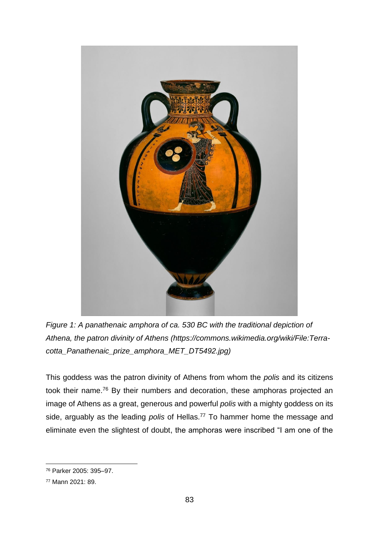

*Figure 1: A panathenaic amphora of ca. 530 BC with the traditional depiction of Athena, the patron divinity of Athens (https://commons.wikimedia.org/wiki/File:Terracotta\_Panathenaic\_prize\_amphora\_MET\_DT5492.jpg)*

This goddess was the patron divinity of Athens from whom the *polis* and its citizens took their name.<sup>76</sup> By their numbers and decoration, these amphoras projected an image of Athens as a great, generous and powerful *polis* with a mighty goddess on its side, arguably as the leading *polis* of Hellas.<sup>77</sup> To hammer home the message and eliminate even the slightest of doubt, the amphoras were inscribed "I am one of the

<sup>76</sup> Parker 2005: 395–97.

<sup>77</sup> Mann 2021: 89.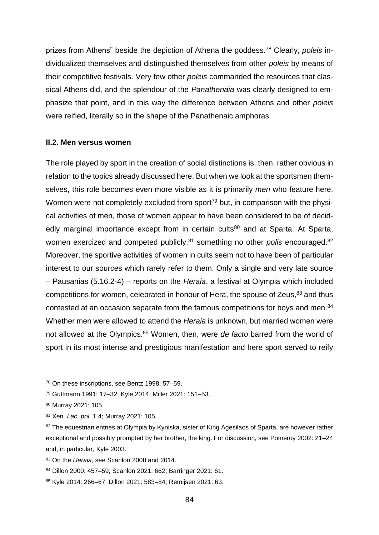prizes from Athens" beside the depiction of Athena the goddess.<sup>78</sup> Clearly, *poleis* individualized themselves and distinguished themselves from other *poleis* by means of their competitive festivals. Very few other *poleis* commanded the resources that classical Athens did, and the splendour of the *Panathenaia* was clearly designed to emphasize that point, and in this way the difference between Athens and other *poleis*  were reified, literally so in the shape of the Panathenaic amphoras.

## **II.2. Men versus women**

The role played by sport in the creation of social distinctions is, then, rather obvious in relation to the topics already discussed here. But when we look at the sportsmen themselves, this role becomes even more visible as it is primarily *men* who feature here. Women were not completely excluded from sport<sup>79</sup> but, in comparison with the physical activities of men, those of women appear to have been considered to be of decidedly marginal importance except from in certain cults<sup>80</sup> and at Sparta. At Sparta, women exercized and competed publicly,<sup>81</sup> something no other *polis* encouraged.<sup>82</sup> Moreover, the sportive activities of women in cults seem not to have been of particular interest to our sources which rarely refer to them. Only a single and very late source – Pausanias (5.16.2-4) – reports on the *Heraia*, a festival at Olympia which included competitions for women, celebrated in honour of Hera, the spouse of Zeus, $83$  and thus contested at an occasion separate from the famous competitions for boys and men.<sup>84</sup> Whether men were allowed to attend the *Heraia* is unknown, but married women were not allowed at the Olympics.<sup>85</sup> Women, then, were *de facto* barred from the world of sport in its most intense and prestigious manifestation and here sport served to reify

<sup>78</sup> On these inscriptions, see Bentz 1998: 57–59.

<sup>79</sup> Guttmann 1991: 17–32; Kyle 2014; Miller 2021: 151–53.

<sup>80</sup> Murray 2021: 105.

<sup>81</sup> Xen. *Lac. pol*. 1.4; Murray 2021: 105.

<sup>82</sup> The equestrian entries at Olympia by Kyniska, sister of King Agesilaos of Sparta, are however rather exceptional and possibly prompted by her brother, the king. For discussion, see Pomeroy 2002: 21–24 and, in particular, Kyle 2003.

<sup>83</sup> On the *Heraia*, see Scanlon 2008 and 2014.

<sup>84</sup> Dillon 2000: 457–59; Scanlon 2021: 662; Barringer 2021: 61.

<sup>85</sup> Kyle 2014: 266–67; Dillon 2021: 583–84; Remijsen 2021: 63.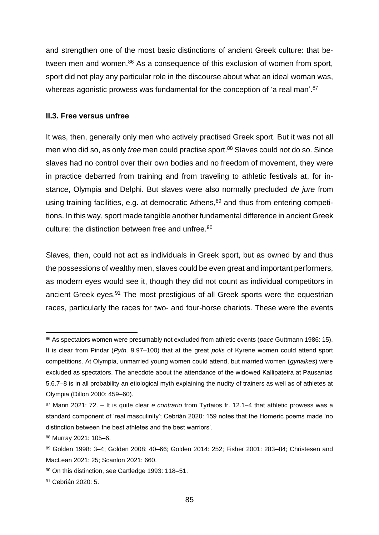and strengthen one of the most basic distinctions of ancient Greek culture: that between men and women.<sup>86</sup> As a consequence of this exclusion of women from sport, sport did not play any particular role in the discourse about what an ideal woman was, whereas agonistic prowess was fundamental for the conception of 'a real man'.<sup>87</sup>

## **II.3. Free versus unfree**

It was, then, generally only men who actively practised Greek sport. But it was not all men who did so, as only *free* men could practise sport.<sup>88</sup> Slaves could not do so. Since slaves had no control over their own bodies and no freedom of movement, they were in practice debarred from training and from traveling to athletic festivals at, for instance, Olympia and Delphi. But slaves were also normally precluded *de jure* from using training facilities, e.g. at democratic Athens,<sup>89</sup> and thus from entering competitions. In this way, sport made tangible another fundamental difference in ancient Greek culture: the distinction between free and unfree.<sup>90</sup>

Slaves, then, could not act as individuals in Greek sport, but as owned by and thus the possessions of wealthy men, slaves could be even great and important performers, as modern eyes would see it, though they did not count as individual competitors in ancient Greek eyes. <sup>91</sup> The most prestigious of all Greek sports were the equestrian races, particularly the races for two- and four-horse chariots. These were the events

<sup>86</sup> As spectators women were presumably not excluded from athletic events (*pace* Guttmann 1986: 15). It is clear from Pindar (*Pyth.* 9.97–100) that at the great *polis* of Kyrene women could attend sport competitions. At Olympia, unmarried young women could attend, but married women (*gynaikes*) were excluded as spectators. The anecdote about the attendance of the widowed Kallipateira at Pausanias 5.6.7–8 is in all probability an etiological myth explaining the nudity of trainers as well as of athletes at Olympia (Dillon 2000: 459–60).

<sup>87</sup> Mann 2021: 72. – It is quite clear *e contrario* from Tyrtaios fr. 12.1–4 that athletic prowess was a standard component of 'real masculinity'; Cebrián 2020: 159 notes that the Homeric poems made 'no distinction between the best athletes and the best warriors'.

<sup>88</sup> Murray 2021: 105–6.

<sup>89</sup> Golden 1998: 3–4; Golden 2008: 40–66; Golden 2014: 252; Fisher 2001: 283–84; Christesen and MacLean 2021: 25; Scanlon 2021: 660.

<sup>90</sup> On this distinction, see Cartledge 1993: 118–51.

<sup>91</sup> Cebrián 2020: 5.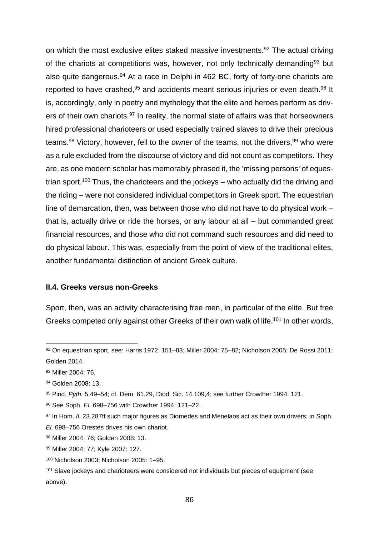on which the most exclusive elites staked massive investments.<sup>92</sup> The actual driving of the chariots at competitions was, however, not only technically demanding<sup>93</sup> but also quite dangerous.<sup>94</sup> At a race in Delphi in 462 BC, forty of forty-one chariots are reported to have crashed,<sup>95</sup> and accidents meant serious injuries or even death.<sup>96</sup> It is, accordingly, only in poetry and mythology that the elite and heroes perform as drivers of their own chariots.<sup>97</sup> In reality, the normal state of affairs was that horseowners hired professional charioteers or used especially trained slaves to drive their precious teams.<sup>98</sup> Victory, however, fell to the *owner* of the teams, not the drivers,<sup>99</sup> who were as a rule excluded from the discourse of victory and did not count as competitors. They are, as one modern scholar has memorably phrased it, the 'missing persons*'* of equestrian sport.<sup>100</sup> Thus, the charioteers and the jockeys – who actually did the driving and the riding – were not considered individual competitors in Greek sport. The equestrian line of demarcation, then, was between those who did not have to do physical work – that is, actually drive or ride the horses, or any labour at all – but commanded great financial resources, and those who did not command such resources and did need to do physical labour. This was, especially from the point of view of the traditional elites, another fundamental distinction of ancient Greek culture.

## **II.4. Greeks versus non-Greeks**

Sport, then, was an activity characterising free men, in particular of the elite. But free Greeks competed only against other Greeks of their own walk of life.<sup>101</sup> In other words,

<sup>92</sup> On equestrian sport, see: Harris 1972: 151–83; Miller 2004: 75–82; Nicholson 2005; De Rossi 2011; Golden 2014.

<sup>93</sup> Miller 2004: 76.

<sup>94</sup> Golden 2008: 13.

<sup>95</sup> Pind. *Pyth.* 5.49–54; cf. Dem. 61.29, Diod. Sic. 14.109,4; see further Crowther 1994: 121.

<sup>96</sup> See Soph. *El.* 698–756 with Crowther 1994: 121–22.

<sup>97</sup> In Hom. *II.* 23.287ff such major figures as Diomedes and Menelaos act as their own drivers; in Soph. *El.* 698–756 Orestes drives his own chariot.

<sup>98</sup> Miller 2004: 76; Golden 2008: 13.

<sup>99</sup> Miller 2004: 77; Kyle 2007: 127.

<sup>100</sup> Nicholson 2003; Nicholson 2005: 1–95.

<sup>&</sup>lt;sup>101</sup> Slave jockeys and charioteers were considered not individuals but pieces of equipment (see above).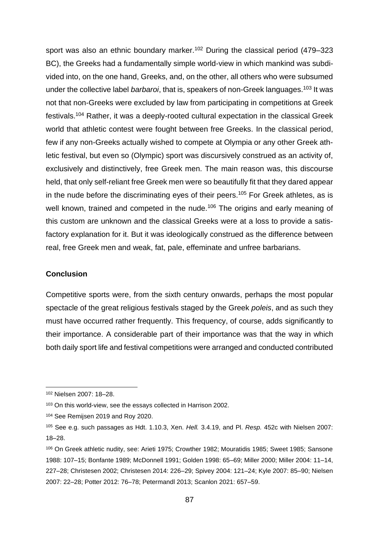sport was also an ethnic boundary marker.<sup>102</sup> During the classical period (479–323 BC), the Greeks had a fundamentally simple world-view in which mankind was subdivided into, on the one hand, Greeks, and, on the other, all others who were subsumed under the collective label *barbaroi*, that is, speakers of non-Greek languages. <sup>103</sup> It was not that non-Greeks were excluded by law from participating in competitions at Greek festivals.<sup>104</sup> Rather, it was a deeply-rooted cultural expectation in the classical Greek world that athletic contest were fought between free Greeks. In the classical period, few if any non-Greeks actually wished to compete at Olympia or any other Greek athletic festival, but even so (Olympic) sport was discursively construed as an activity of, exclusively and distinctively, free Greek men. The main reason was, this discourse held, that only self-reliant free Greek men were so beautifully fit that they dared appear in the nude before the discriminating eyes of their peers.<sup>105</sup> For Greek athletes, as is well known, trained and competed in the nude.<sup>106</sup> The origins and early meaning of this custom are unknown and the classical Greeks were at a loss to provide a satisfactory explanation for it. But it was ideologically construed as the difference between real, free Greek men and weak, fat, pale, effeminate and unfree barbarians.

# **Conclusion**

Competitive sports were, from the sixth century onwards, perhaps the most popular spectacle of the great religious festivals staged by the Greek *poleis*, and as such they must have occurred rather frequently. This frequency, of course, adds significantly to their importance. A considerable part of their importance was that the way in which both daily sport life and festival competitions were arranged and conducted contributed

<sup>102</sup> Nielsen 2007: 18–28.

<sup>103</sup> On this world-view, see the essays collected in Harrison 2002.

<sup>104</sup> See Remijsen 2019 and Roy 2020.

<sup>105</sup> See e.g. such passages as Hdt. 1.10.3, Xen. *Hell.* 3.4.19, and Pl. *Resp.* 452c with Nielsen 2007: 18–28.

<sup>106</sup> On Greek athletic nudity, see: Arieti 1975; Crowther 1982; Mouratidis 1985; Sweet 1985; Sansone 1988: 107–15; Bonfante 1989; McDonnell 1991; Golden 1998: 65–69; Miller 2000; Miller 2004: 11–14, 227–28; Christesen 2002; Christesen 2014: 226–29; Spivey 2004: 121–24; Kyle 2007: 85–90; Nielsen 2007: 22–28; Potter 2012: 76–78; Petermandl 2013; Scanlon 2021: 657–59.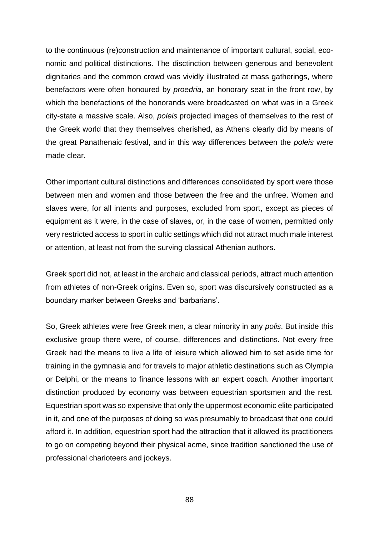to the continuous (re)construction and maintenance of important cultural, social, economic and political distinctions. The disctinction between generous and benevolent dignitaries and the common crowd was vividly illustrated at mass gatherings, where benefactors were often honoured by *proedria*, an honorary seat in the front row, by which the benefactions of the honorands were broadcasted on what was in a Greek city-state a massive scale. Also, *poleis* projected images of themselves to the rest of the Greek world that they themselves cherished, as Athens clearly did by means of the great Panathenaic festival, and in this way differences between the *poleis* were made clear.

Other important cultural distinctions and differences consolidated by sport were those between men and women and those between the free and the unfree. Women and slaves were, for all intents and purposes, excluded from sport, except as pieces of equipment as it were, in the case of slaves, or, in the case of women, permitted only very restricted access to sport in cultic settings which did not attract much male interest or attention, at least not from the surving classical Athenian authors.

Greek sport did not, at least in the archaic and classical periods, attract much attention from athletes of non-Greek origins. Even so, sport was discursively constructed as a boundary marker between Greeks and 'barbarians'.

So, Greek athletes were free Greek men, a clear minority in any *polis*. But inside this exclusive group there were, of course, differences and distinctions. Not every free Greek had the means to live a life of leisure which allowed him to set aside time for training in the gymnasia and for travels to major athletic destinations such as Olympia or Delphi, or the means to finance lessons with an expert coach. Another important distinction produced by economy was between equestrian sportsmen and the rest. Equestrian sport was so expensive that only the uppermost economic elite participated in it, and one of the purposes of doing so was presumably to broadcast that one could afford it. In addition, equestrian sport had the attraction that it allowed its practitioners to go on competing beyond their physical acme, since tradition sanctioned the use of professional charioteers and jockeys.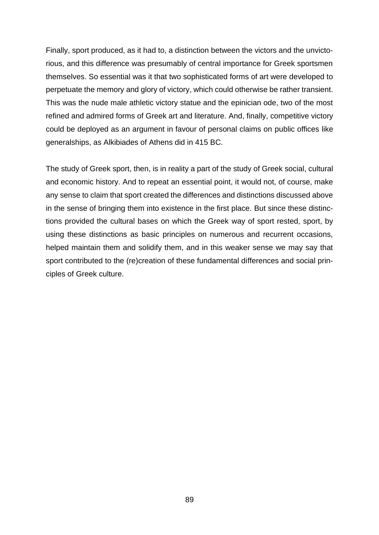Finally, sport produced, as it had to, a distinction between the victors and the unvictorious, and this difference was presumably of central importance for Greek sportsmen themselves. So essential was it that two sophisticated forms of art were developed to perpetuate the memory and glory of victory, which could otherwise be rather transient. This was the nude male athletic victory statue and the epinician ode, two of the most refined and admired forms of Greek art and literature. And, finally, competitive victory could be deployed as an argument in favour of personal claims on public offices like generalships, as Alkibiades of Athens did in 415 BC.

The study of Greek sport, then, is in reality a part of the study of Greek social, cultural and economic history. And to repeat an essential point, it would not, of course, make any sense to claim that sport created the differences and distinctions discussed above in the sense of bringing them into existence in the first place. But since these distinctions provided the cultural bases on which the Greek way of sport rested, sport, by using these distinctions as basic principles on numerous and recurrent occasions, helped maintain them and solidify them, and in this weaker sense we may say that sport contributed to the (re)creation of these fundamental differences and social principles of Greek culture.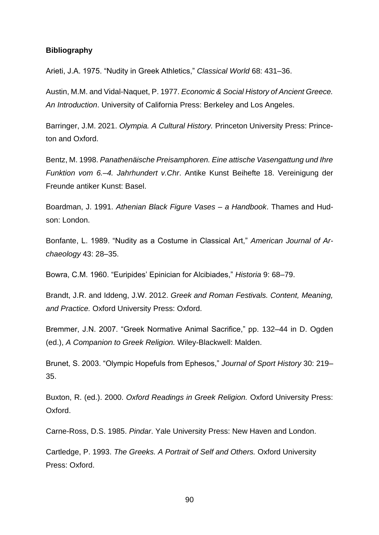#### **Bibliography**

Arieti, J.A. 1975. "Nudity in Greek Athletics," *Classical World* 68: 431–36.

Austin, M.M. and Vidal-Naquet, P. 1977. *Economic & Social History of Ancient Greece. An Introduction*. University of California Press: Berkeley and Los Angeles.

Barringer, J.M. 2021. *Olympia. A Cultural History.* Princeton University Press: Princeton and Oxford.

Bentz, M. 1998. *Panathenäische Preisamphoren. Eine attische Vasengattung und Ihre Funktion vom 6.–4. Jahrhundert v.Chr*. Antike Kunst Beihefte 18. Vereinigung der Freunde antiker Kunst: Basel.

Boardman, J. 1991. *Athenian Black Figure Vases – a Handbook*. Thames and Hudson: London.

Bonfante, L. 1989. "Nudity as a Costume in Classical Art," *American Journal of Archaeology* 43: 28–35.

Bowra, C.M. 1960. "Euripides' Epinician for Alcibiades," *Historia* 9: 68–79.

Brandt, J.R. and Iddeng, J.W. 2012. *Greek and Roman Festivals. Content, Meaning, and Practice.* Oxford University Press: Oxford.

Bremmer, J.N. 2007. "Greek Normative Animal Sacrifice," pp. 132–44 in D. Ogden (ed.), *A Companion to Greek Religion.* Wiley-Blackwell: Malden.

Brunet, S. 2003. "Olympic Hopefuls from Ephesos," *Journal of Sport History* 30: 219– 35.

Buxton, R. (ed.). 2000. *Oxford Readings in Greek Religion.* Oxford University Press: Oxford.

Carne-Ross, D.S. 1985. *Pindar*. Yale University Press: New Haven and London.

Cartledge, P. 1993. *The Greeks. A Portrait of Self and Others.* Oxford University Press: Oxford.

90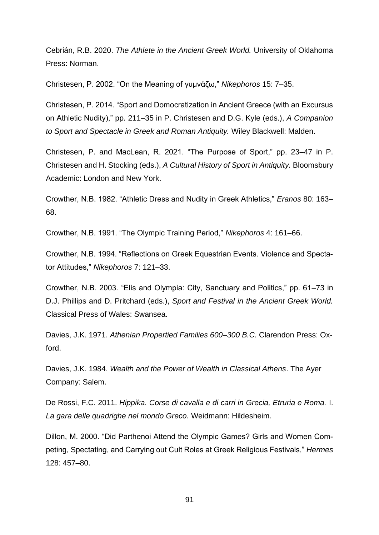Cebrián, R.B. 2020. *The Athlete in the Ancient Greek World.* University of Oklahoma Press: Norman.

Christesen, P. 2002. "On the Meaning of γυμνάζω," *Nikephoros* 15: 7–35.

Christesen, P. 2014. "Sport and Domocratization in Ancient Greece (with an Excursus on Athletic Nudity)," pp. 211–35 in P. Christesen and D.G. Kyle (eds.), *A Companion to Sport and Spectacle in Greek and Roman Antiquity.* Wiley Blackwell: Malden.

Christesen, P. and MacLean, R. 2021. "The Purpose of Sport," pp. 23–47 in P. Christesen and H. Stocking (eds.), *A Cultural History of Sport in Antiquity.* Bloomsbury Academic: London and New York.

Crowther, N.B. 1982. "Athletic Dress and Nudity in Greek Athletics," *Eranos* 80: 163– 68.

Crowther, N.B. 1991. "The Olympic Training Period," *Nikephoros* 4: 161–66.

Crowther, N.B. 1994. "Reflections on Greek Equestrian Events. Violence and Spectator Attitudes," *Nikephoros* 7: 121–33.

Crowther, N.B. 2003. "Elis and Olympia: City, Sanctuary and Politics," pp. 61–73 in D.J. Phillips and D. Pritchard (eds.), *Sport and Festival in the Ancient Greek World.*  Classical Press of Wales: Swansea.

Davies, J.K. 1971. *Athenian Propertied Families 600–300 B.C.* Clarendon Press: Oxford.

Davies, J.K. 1984. *Wealth and the Power of Wealth in Classical Athens*. The Ayer Company: Salem.

De Rossi, F.C. 2011. *Hippika. Corse di cavalla e di carri in Grecia, Etruria e Roma.* I. *La gara delle quadrighe nel mondo Greco.* Weidmann: Hildesheim.

Dillon, M. 2000. "Did Parthenoi Attend the Olympic Games? Girls and Women Competing, Spectating, and Carrying out Cult Roles at Greek Religious Festivals," *Hermes*  128: 457–80.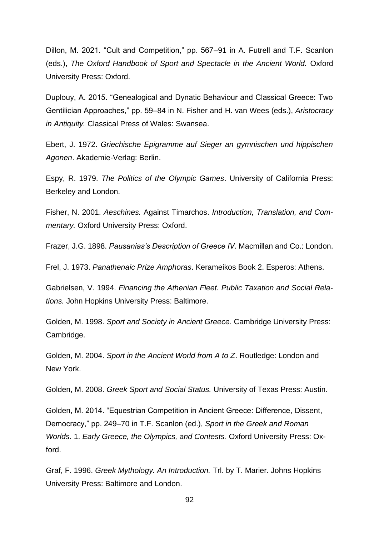Dillon, M. 2021. "Cult and Competition," pp. 567–91 in A. Futrell and T.F. Scanlon (eds.), *The Oxford Handbook of Sport and Spectacle in the Ancient World.* Oxford University Press: Oxford.

Duplouy, A. 2015. "Genealogical and Dynatic Behaviour and Classical Greece: Two Gentilician Approaches," pp. 59–84 in N. Fisher and H. van Wees (eds.), *Aristocracy in Antiquity.* Classical Press of Wales: Swansea.

Ebert, J. 1972. *Griechische Epigramme auf Sieger an gymnischen und hippischen Agonen*. Akademie-Verlag: Berlin.

Espy, R. 1979. *The Politics of the Olympic Games*. University of California Press: Berkeley and London.

Fisher, N. 2001. *Aeschines.* Against Timarchos. *Introduction, Translation, and Commentary.* Oxford University Press: Oxford.

Frazer, J.G. 1898. *Pausanias's Description of Greece IV*. Macmillan and Co.: London.

Frel, J. 1973. *Panathenaic Prize Amphoras*. Kerameikos Book 2. Esperos: Athens.

Gabrielsen, V. 1994. *Financing the Athenian Fleet. Public Taxation and Social Relations.* John Hopkins University Press: Baltimore.

Golden, M. 1998. *Sport and Society in Ancient Greece.* Cambridge University Press: Cambridge.

Golden, M. 2004. *Sport in the Ancient World from A to Z*. Routledge: London and New York.

Golden, M. 2008. *Greek Sport and Social Status.* University of Texas Press: Austin.

Golden, M. 2014. "Equestrian Competition in Ancient Greece: Difference, Dissent, Democracy," pp. 249–70 in T.F. Scanlon (ed.), *Sport in the Greek and Roman Worlds.* 1. *Early Greece, the Olympics, and Contests.* Oxford University Press: Oxford.

Graf, F. 1996. *Greek Mythology. An Introduction.* Trl. by T. Marier. Johns Hopkins University Press: Baltimore and London.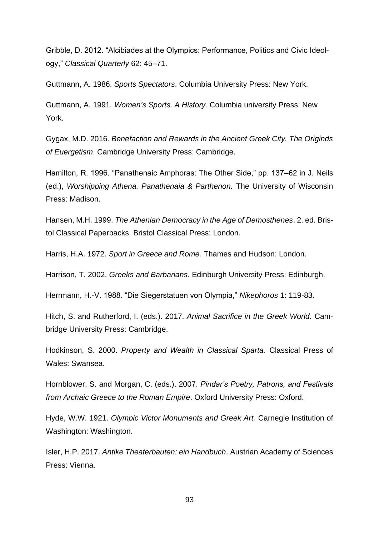Gribble, D. 2012. "Alcibiades at the Olympics: Performance, Politics and Civic Ideology," *Classical Quarterly* 62: 45–71.

Guttmann, A. 1986. *Sports Spectators*. Columbia University Press: New York.

Guttmann, A. 1991. *Women's Sports. A History.* Columbia university Press: New York.

Gygax, M.D. 2016. *Benefaction and Rewards in the Ancient Greek City. The Originds of Euergetism*. Cambridge University Press: Cambridge.

Hamilton, R. 1996. "Panathenaic Amphoras: The Other Side," pp. 137–62 in J. Neils (ed.), *Worshipping Athena. Panathenaia & Parthenon.* The University of Wisconsin Press: Madison.

Hansen, M.H. 1999. *The Athenian Democracy in the Age of Demosthenes*. 2. ed. Bristol Classical Paperbacks. Bristol Classical Press: London.

Harris, H.A. 1972. *Sport in Greece and Rome.* Thames and Hudson: London.

Harrison, T. 2002. *Greeks and Barbarians.* Edinburgh University Press: Edinburgh.

Herrmann, H.-V. 1988. "Die Siegerstatuen von Olympia," *Nikephoros* 1: 119-83.

Hitch, S. and Rutherford, I. (eds.). 2017. *Animal Sacrifice in the Greek World.* Cambridge University Press: Cambridge.

Hodkinson, S. 2000. *Property and Wealth in Classical Sparta.* Classical Press of Wales: Swansea.

Hornblower, S. and Morgan, C. (eds.). 2007. *Pindar's Poetry, Patrons, and Festivals from Archaic Greece to the Roman Empire*. Oxford University Press: Oxford.

Hyde, W.W. 1921. *Olympic Victor Monuments and Greek Art.* Carnegie Institution of Washington: Washington.

Isler, H.P. 2017. *Antike Theaterbauten: ein Handbuch*. Austrian Academy of Sciences Press: Vienna.

93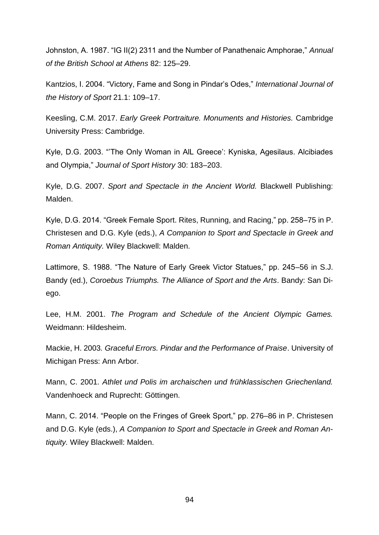Johnston, A. 1987. "IG II(2) 2311 and the Number of Panathenaic Amphorae," *Annual of the British School at Athens* 82: 125–29.

Kantzios, I. 2004. "Victory, Fame and Song in Pindar's Odes," *International Journal of the History of Sport* 21.1: 109–17.

Keesling, C.M. 2017. *Early Greek Portraiture. Monuments and Histories.* Cambridge University Press: Cambridge.

Kyle, D.G. 2003. "'The Only Woman in AlL Greece': Kyniska, Agesilaus. Alcibiades and Olympia," *Journal of Sport History* 30: 183–203.

Kyle, D.G. 2007. *Sport and Spectacle in the Ancient World.* Blackwell Publishing: Malden.

Kyle, D.G. 2014. "Greek Female Sport. Rites, Running, and Racing," pp. 258–75 in P. Christesen and D.G. Kyle (eds.), *A Companion to Sport and Spectacle in Greek and Roman Antiquity.* Wiley Blackwell: Malden.

Lattimore, S. 1988. "The Nature of Early Greek Victor Statues," pp. 245–56 in S.J. Bandy (ed.), *Coroebus Triumphs. The Alliance of Sport and the Arts*. Bandy: San Diego.

Lee, H.M. 2001. *The Program and Schedule of the Ancient Olympic Games.*  Weidmann: Hildesheim.

Mackie, H. 2003*. Graceful Errors. Pindar and the Performance of Praise*. University of Michigan Press: Ann Arbor.

Mann, C. 2001. *Athlet und Polis im archaischen und frühklassischen Griechenland.*  Vandenhoeck and Ruprecht: Göttingen.

Mann, C. 2014. "People on the Fringes of Greek Sport," pp. 276–86 in P. Christesen and D.G. Kyle (eds.), *A Companion to Sport and Spectacle in Greek and Roman Antiquity.* Wiley Blackwell: Malden.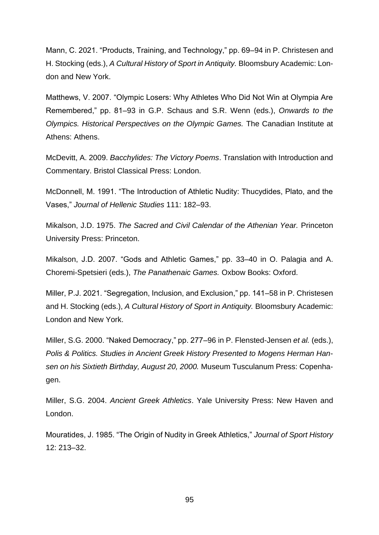Mann, C. 2021. "Products, Training, and Technology," pp. 69–94 in P. Christesen and H. Stocking (eds.), *A Cultural History of Sport in Antiquity.* Bloomsbury Academic: London and New York.

Matthews, V. 2007. "Olympic Losers: Why Athletes Who Did Not Win at Olympia Are Remembered," pp. 81–93 in G.P. Schaus and S.R. Wenn (eds.), *Onwards to the Olympics. Historical Perspectives on the Olympic Games.* The Canadian Institute at Athens: Athens.

McDevitt, A. 2009. *Bacchylides: The Victory Poems*. Translation with Introduction and Commentary. Bristol Classical Press: London.

McDonnell, M. 1991. "The Introduction of Athletic Nudity: Thucydides, Plato, and the Vases," *Journal of Hellenic Studies* 111: 182–93.

Mikalson, J.D. 1975. *The Sacred and Civil Calendar of the Athenian Year.* Princeton University Press: Princeton.

Mikalson, J.D. 2007. "Gods and Athletic Games," pp. 33–40 in O. Palagia and A. Choremi-Spetsieri (eds.), *The Panathenaic Games.* Oxbow Books: Oxford.

Miller, P.J. 2021. "Segregation, Inclusion, and Exclusion," pp. 141–58 in P. Christesen and H. Stocking (eds.), *A Cultural History of Sport in Antiquity.* Bloomsbury Academic: London and New York.

Miller, S.G. 2000. "Naked Democracy," pp. 277–96 in P. Flensted-Jensen *et al.* (eds.), *Polis & Politics. Studies in Ancient Greek History Presented to Mogens Herman Hansen on his Sixtieth Birthday, August 20, 2000.* Museum Tusculanum Press: Copenhagen.

Miller, S.G. 2004. *Ancient Greek Athletics*. Yale University Press: New Haven and London.

Mouratides, J. 1985. "The Origin of Nudity in Greek Athletics," *Journal of Sport History*  12: 213–32.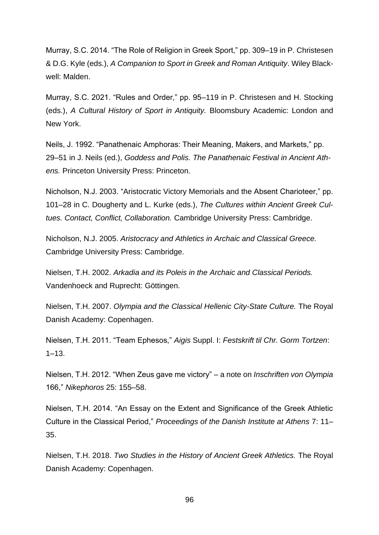Murray, S.C. 2014. "The Role of Religion in Greek Sport," pp. 309–19 in P. Christesen & D.G. Kyle (eds.), *A Companion to Sport in Greek and Roman Antiquity*. Wiley Blackwell: Malden.

Murray, S.C. 2021. "Rules and Order," pp. 95–119 in P. Christesen and H. Stocking (eds.), *A Cultural History of Sport in Antiquity.* Bloomsbury Academic: London and New York.

Neils, J. 1992. "Panathenaic Amphoras: Their Meaning, Makers, and Markets," pp. 29–51 in J. Neils (ed.), *Goddess and Polis. The Panathenaic Festival in Ancient Athens.* Princeton University Press: Princeton.

Nicholson, N.J. 2003. "Aristocratic Victory Memorials and the Absent Charioteer," pp. 101–28 in C. Dougherty and L. Kurke (eds.), *The Cultures within Ancient Greek Cultues. Contact, Conflict, Collaboration.* Cambridge University Press: Cambridge.

Nicholson, N.J. 2005. *Aristocracy and Athletics in Archaic and Classical Greece.*  Cambridge University Press: Cambridge.

Nielsen, T.H. 2002. *Arkadia and its Poleis in the Archaic and Classical Periods.*  Vandenhoeck and Ruprecht: Göttingen.

Nielsen, T.H. 2007. *Olympia and the Classical Hellenic City-State Culture.* The Royal Danish Academy: Copenhagen.

Nielsen, T.H. 2011. "Team Ephesos," *Aigis* Suppl. I: *Festskrift til Chr. Gorm Tortzen*:  $1 - 13$ .

Nielsen, T.H. 2012. "When Zeus gave me victory" – a note on *Inschriften von Olympia* 166," *Nikephoros* 25: 155–58.

Nielsen, T.H. 2014. "An Essay on the Extent and Significance of the Greek Athletic Culture in the Classical Period," *Proceedings of the Danish Institute at Athens* 7: 11– 35.

Nielsen, T.H. 2018. *Two Studies in the History of Ancient Greek Athletics.* The Royal Danish Academy: Copenhagen.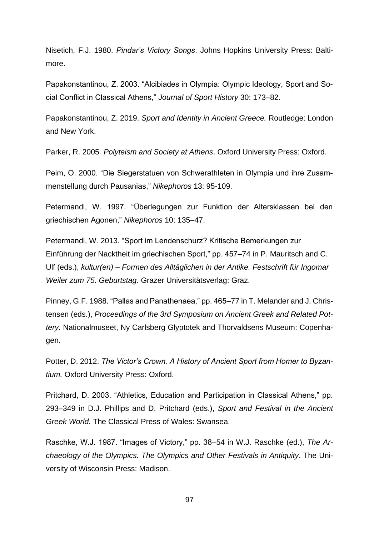Nisetich, F.J. 1980. *Pindar's Victory Songs*. Johns Hopkins University Press: Baltimore.

Papakonstantinou, Z. 2003. "Alcibiades in Olympia: Olympic Ideology, Sport and Social Conflict in Classical Athens," *Journal of Sport History* 30: 173–82.

Papakonstantinou, Z. 2019. *Sport and Identity in Ancient Greece.* Routledge: London and New York.

Parker, R. 2005*. Polyteism and Society at Athens*. Oxford University Press: Oxford.

Peim, O. 2000. "Die Siegerstatuen von Schwerathleten in Olympia und ihre Zusammenstellung durch Pausanias," *Nikephoros* 13: 95-109.

Petermandl, W. 1997. "Überlegungen zur Funktion der Altersklassen bei den griechischen Agonen," *Nikephoros* 10: 135–47.

Petermandl, W. 2013. "Sport im Lendenschurz? Kritische Bemerkungen zur Einführung der Nacktheit im griechischen Sport," pp. 457–74 in P. Mauritsch and C. Ulf (eds.), *kultur(en) – Formen des Alltäglichen in der Antike. Festschrift für Ingomar Weiler zum 75. Geburtstag.* Grazer Universitätsverlag: Graz.

Pinney, G.F. 1988. "Pallas and Panathenaea," pp. 465–77 in T. Melander and J. Christensen (eds.), *Proceedings of the 3rd Symposium on Ancient Greek and Related Pottery*. Nationalmuseet, Ny Carlsberg Glyptotek and Thorvaldsens Museum: Copenhagen.

Potter, D. 2012. *The Victor's Crown. A History of Ancient Sport from Homer to Byzantium.* Oxford University Press: Oxford.

Pritchard, D. 2003. "Athletics, Education and Participation in Classical Athens," pp. 293–349 in D.J. Phillips and D. Pritchard (eds.), *Sport and Festival in the Ancient Greek World.* The Classical Press of Wales: Swansea.

Raschke, W.J. 1987. "Images of Victory," pp. 38–54 in W.J. Raschke (ed.), *The Archaeology of the Olympics. The Olympics and Other Festivals in Antiquity*. The University of Wisconsin Press: Madison.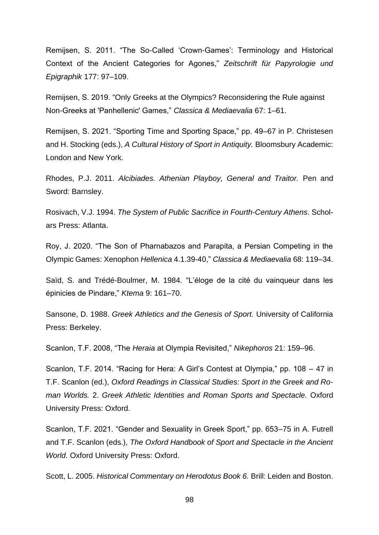Remijsen, S. 2011. "The So-Called 'Crown-Games': Terminology and Historical Context of the Ancient Categories for Agones," *Zeitschrift für Papyrologie und Epigraphik* 177: 97–109.

Remijsen, S. 2019. "Only Greeks at the Olympics? Reconsidering the Rule against Non-Greeks at 'Panhellenic' Games," *Classica & Mediaevalia* 67: 1–61.

Remijsen, S. 2021. "Sporting Time and Sporting Space," pp. 49–67 in P. Christesen and H. Stocking (eds.), *A Cultural History of Sport in Antiquity.* Bloomsbury Academic: London and New York.

Rhodes, P.J. 2011. *Alcibiades. Athenian Playboy, General and Traitor.* Pen and Sword: Barnsley.

Rosivach, V.J. 1994. *The System of Public Sacrifice in Fourth-Century Athens*. Scholars Press: Atlanta.

Roy, J. 2020. "The Son of Pharnabazos and Parapita, a Persian Competing in the Olympic Games: Xenophon *Hellenica* 4.1.39-40," *Classica & Mediaevalia* 68: 119–34.

Saïd, S. and Trédé-Boulmer, M. 1984. "L'éloge de la cité du vainqueur dans les épinicies de Pindare," *Ktema* 9: 161–70.

Sansone, D. 1988. *Greek Athletics and the Genesis of Sport.* University of California Press: Berkeley.

Scanlon, T.F. 2008, "The *Heraia* at Olympia Revisited," *Nikephoros* 21: 159–96.

Scanlon, T.F. 2014. "Racing for Hera: A Girl's Contest at Olympia," pp. 108 – 47 in T.F. Scanlon (ed.), *Oxford Readings in Classical Studies: Sport in the Greek and Roman Worlds.* 2. *Greek Athletic Identities and Roman Sports and Spectacle.* Oxford University Press: Oxford.

Scanlon, T.F. 2021. "Gender and Sexuality in Greek Sport," pp. 653–75 in A. Futrell and T.F. Scanlon (eds.), *The Oxford Handbook of Sport and Spectacle in the Ancient World.* Oxford University Press: Oxford.

Scott, L. 2005. *Historical Commentary on Herodotus Book 6.* Brill: Leiden and Boston.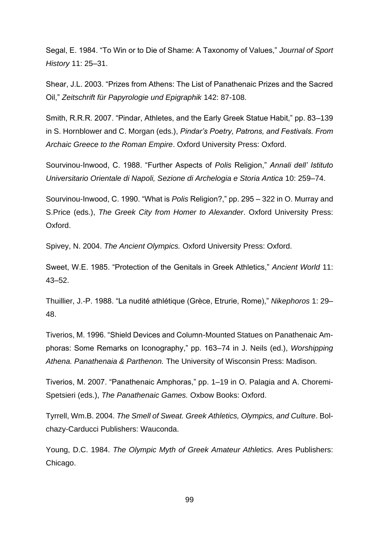Segal, E. 1984. "To Win or to Die of Shame: A Taxonomy of Values," *Journal of Sport History* 11: 25–31.

Shear, J.L. 2003. "Prizes from Athens: The List of Panathenaic Prizes and the Sacred Oil," *Zeitschrift für Papyrologie und Epigraphik* 142: 87-108.

Smith, R.R.R. 2007. "Pindar, Athletes, and the Early Greek Statue Habit," pp. 83–139 in S. Hornblower and C. Morgan (eds.), *Pindar's Poetry, Patrons, and Festivals. From Archaic Greece to the Roman Empire*. Oxford University Press: Oxford.

Sourvinou-Inwood, C. 1988. "Further Aspects of *Polis* Religion," *Annali dell' Istituto Universitario Orientale di Napoli, Sezione di Archelogia e Storia Antica* 10: 259–74.

Sourvinou-Inwood, C. 1990. "What is *Polis* Religion?," pp. 295 – 322 in O. Murray and S.Price (eds.), *The Greek City from Homer to Alexander*. Oxford University Press: Oxford.

Spivey, N. 2004. *The Ancient Olympics.* Oxford University Press: Oxford.

Sweet, W.E. 1985. "Protection of the Genitals in Greek Athletics," *Ancient World* 11: 43–52.

Thuillier, J.-P. 1988. "La nudité athlétique (Grèce, Etrurie, Rome)," *Nikephoros* 1: 29– 48.

Tiverios, M. 1996. "Shield Devices and Column-Mounted Statues on Panathenaic Amphoras: Some Remarks on Iconography," pp. 163–74 in J. Neils (ed.), *Worshipping Athena. Panathenaia & Parthenon.* The University of Wisconsin Press: Madison.

Tiverios, M. 2007. "Panathenaic Amphoras," pp. 1–19 in O. Palagia and A. Choremi-Spetsieri (eds.), *The Panathenaic Games.* Oxbow Books: Oxford.

Tyrrell, Wm.B. 2004. *The Smell of Sweat. Greek Athletics, Olympics, and Culture*. Bolchazy-Carducci Publishers: Wauconda.

Young, D.C. 1984. *The Olympic Myth of Greek Amateur Athletics.* Ares Publishers: Chicago.